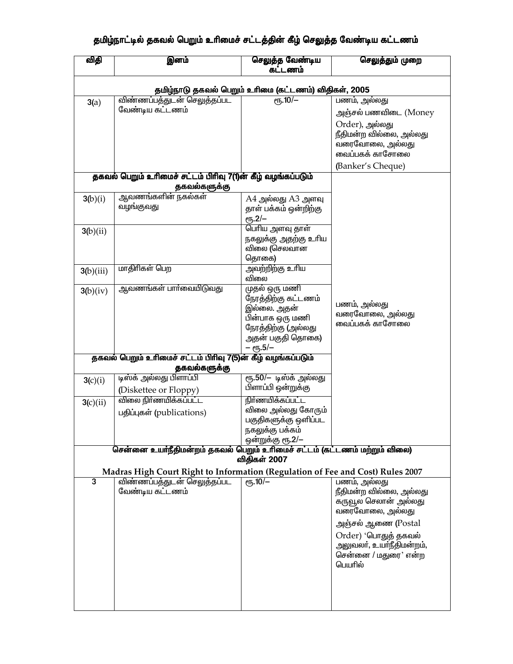## தமிழ்நாட்டில் தகவல் பெறும் உரிமைச் சட்டத்தின் கீழ் செலுத்த வேண்டிய கட்டணம்

| விதி                                                                        | இனம்                                                                           | செலுத்த வேண்டிய<br>கட்டணம்                                                                                   | செலுத்தும் முறை                                                                 |  |  |  |
|-----------------------------------------------------------------------------|--------------------------------------------------------------------------------|--------------------------------------------------------------------------------------------------------------|---------------------------------------------------------------------------------|--|--|--|
| தமிழ்நாடு தகவல் பெறும் உரிமை (கட்டணம்) விதிகள், 2005                        |                                                                                |                                                                                                              |                                                                                 |  |  |  |
| 3(a)                                                                        | விண்ணப்பத்துடன் செலுத்தப்பட                                                    | $e$ <sup>10</sup> /-                                                                                         | பணம், அல்லது                                                                    |  |  |  |
|                                                                             | வேண்டிய கட்டணம்                                                                |                                                                                                              | அஞ்சல் பணவிடை (Money                                                            |  |  |  |
|                                                                             |                                                                                |                                                                                                              | Order), அல்லது<br>நீதிமன்ற வில்லை, அல்லது<br>வரைவோலை, அல்லது<br>வைப்பகக் காசோலை |  |  |  |
|                                                                             |                                                                                |                                                                                                              | (Banker's Cheque)                                                               |  |  |  |
| தகவல் பெறும் உரிமைச் சட்டம் பிரிவு 7(1)ன் கீழ் வழங்கப்படும்<br>தகவல்களுக்கு |                                                                                |                                                                                                              |                                                                                 |  |  |  |
| 3(b)(i)                                                                     | ஆவணங்களின் நகல்கள்                                                             | A4 அல்லது A3 அளவு                                                                                            |                                                                                 |  |  |  |
|                                                                             | வழங்குவது                                                                      | தாள் பக்கம் ஒன்றிற்கு<br>$e$ <sup>1</sup> 5.2/-                                                              |                                                                                 |  |  |  |
| 3(b)(ii)                                                                    |                                                                                | பெரிய அளவு தாள்                                                                                              |                                                                                 |  |  |  |
|                                                                             |                                                                                | நகலுக்கு அதற்கு உரிய<br>விலை (செலவான<br>தொகை)                                                                |                                                                                 |  |  |  |
|                                                                             | மாதிரிகள் பெற                                                                  | அவற்றிற்கு உரிய                                                                                              |                                                                                 |  |  |  |
| 3(b)(iii)                                                                   | ஆவணங்கள் பாா்வையிடுவது                                                         | விலை<br>முதல் ஒரு மணி                                                                                        |                                                                                 |  |  |  |
| 3(b)(iv)                                                                    |                                                                                | நேரத்திற்கு கட்டணம்<br>இல்லை. அதன்<br>பின்பாக ஒரு மணி<br>நேரத்திற்கு (அல்லது<br>அதன் பகுதி தொகை)<br>– ரூ.5/– | பணம், அல்லது<br>வரைவோலை, அல்லது<br>வைப்பகக் காசோலை                              |  |  |  |
|                                                                             | தகவல் பெறும் உரிமைச் சட்டம் பிரிவு 7(5)ன் கீழ் வழங்கப்படும்                    |                                                                                                              |                                                                                 |  |  |  |
|                                                                             | தகவல்களுக்கு                                                                   |                                                                                                              |                                                                                 |  |  |  |
| 3(c)(i)                                                                     | டிஸ்க் அல்லது பிளாப்பி                                                         | ரூ.50/– டிஸ்க் அல்லது                                                                                        |                                                                                 |  |  |  |
|                                                                             | (Diskettee or Floppy)                                                          | பிளாப்பி ஒன்றுக்கு                                                                                           |                                                                                 |  |  |  |
| 3(c)(ii)                                                                    | <u>விலை நிா்ணயிக்கப்பட்ட</u>                                                   | <u>நிர்ணயிக்கப்பட்ட</u>                                                                                      |                                                                                 |  |  |  |
|                                                                             | பதிப்புகள் (publications)                                                      | விலை அல்லது கோரும்                                                                                           |                                                                                 |  |  |  |
|                                                                             |                                                                                | பகுதிகளுக்கு ஒளிப்பட<br>நகலுக்கு பக்கம்                                                                      |                                                                                 |  |  |  |
|                                                                             |                                                                                | ஒன்றுக்கு ரூ.2/–                                                                                             |                                                                                 |  |  |  |
|                                                                             | சென்னை உயர்நீதிமன்றம் தகவல் பெறும் உரிமைச் சட்டம் (கட்டணம் மற்றும் விலை)       |                                                                                                              |                                                                                 |  |  |  |
| விதிகள் 2007                                                                |                                                                                |                                                                                                              |                                                                                 |  |  |  |
|                                                                             | Madras High Court Right to Information (Regulation of Fee and Cost) Rules 2007 |                                                                                                              |                                                                                 |  |  |  |
| 3                                                                           | விண்ணப்பத்துடன் செலுத்தப்பட                                                    | $e\sqrt{10/-}$                                                                                               | பணம், அல்லது                                                                    |  |  |  |
|                                                                             | வேண்டிய கட்டணம்                                                                |                                                                                                              | நீதிமன்ற வில்லை, அல்லது                                                         |  |  |  |
|                                                                             |                                                                                |                                                                                                              | கருவூல செலான் அல்லது<br>வரைவோலை, அல்லது                                         |  |  |  |
|                                                                             |                                                                                |                                                                                                              | அஞ்சல் ஆணை (Postal                                                              |  |  |  |
|                                                                             |                                                                                |                                                                                                              | Order) 'பொதுத் தகவல்                                                            |  |  |  |
|                                                                             |                                                                                |                                                                                                              | அலுவலா், உயா்நீதிமன்றம்,<br>சென்னை / மதுரை' என்ற<br>பெயரில்                     |  |  |  |
|                                                                             |                                                                                |                                                                                                              |                                                                                 |  |  |  |
|                                                                             |                                                                                |                                                                                                              |                                                                                 |  |  |  |